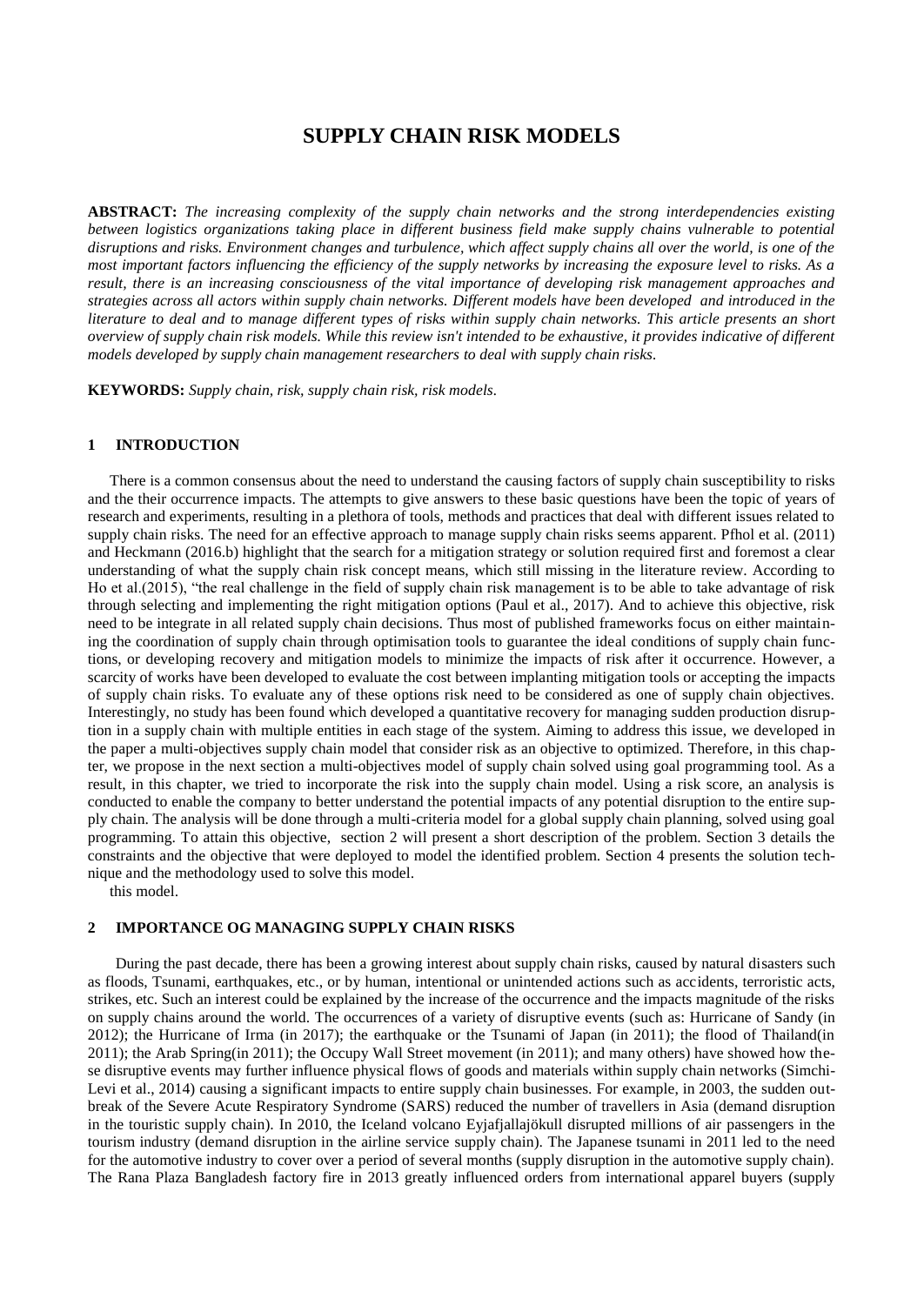# **SUPPLY CHAIN RISK MODELS**

**ABSTRACT:** *The increasing complexity of the supply chain networks and the strong interdependencies existing between logistics organizations taking place in different business field make supply chains vulnerable to potential disruptions and risks. Environment changes and turbulence, which affect supply chains all over the world, is one of the most important factors influencing the efficiency of the supply networks by increasing the exposure level to risks. As a result, there is an increasing consciousness of the vital importance of developing risk management approaches and strategies across all actors within supply chain networks. Different models have been developed and introduced in the literature to deal and to manage different types of risks within supply chain networks. This article presents an short overview of supply chain risk models. While this review isn't intended to be exhaustive, it provides indicative of different models developed by supply chain management researchers to deal with supply chain risks.* 

**KEYWORDS:** *Supply chain, risk, supply chain risk, risk models.*

### **1 INTRODUCTION**

There is a common consensus about the need to understand the causing factors of supply chain susceptibility to risks and the their occurrence impacts. The attempts to give answers to these basic questions have been the topic of years of research and experiments, resulting in a plethora of tools, methods and practices that deal with different issues related to supply chain risks. The need for an effective approach to manage supply chain risks seems apparent. Pfhol et al. (2011) and Heckmann (2016.b) highlight that the search for a mitigation strategy or solution required first and foremost a clear understanding of what the supply chain risk concept means, which still missing in the literature review. According to Ho et al.(2015), "the real challenge in the field of supply chain risk management is to be able to take advantage of risk through selecting and implementing the right mitigation options (Paul et al., 2017). And to achieve this objective, risk need to be integrate in all related supply chain decisions. Thus most of published frameworks focus on either maintaining the coordination of supply chain through optimisation tools to guarantee the ideal conditions of supply chain functions, or developing recovery and mitigation models to minimize the impacts of risk after it occurrence. However, a scarcity of works have been developed to evaluate the cost between implanting mitigation tools or accepting the impacts of supply chain risks. To evaluate any of these options risk need to be considered as one of supply chain objectives. Interestingly, no study has been found which developed a quantitative recovery for managing sudden production disruption in a supply chain with multiple entities in each stage of the system. Aiming to address this issue, we developed in the paper a multi-objectives supply chain model that consider risk as an objective to optimized. Therefore, in this chapter, we propose in the next section a multi-objectives model of supply chain solved using goal programming tool. As a result, in this chapter, we tried to incorporate the risk into the supply chain model. Using a risk score, an analysis is conducted to enable the company to better understand the potential impacts of any potential disruption to the entire supply chain. The analysis will be done through a multi-criteria model for a global supply chain planning, solved using goal programming. To attain this objective, section 2 will present a short description of the problem. Section 3 details the constraints and the objective that were deployed to model the identified problem. Section 4 presents the solution technique and the methodology used to solve this model.

this model.

### **2 IMPORTANCE OG MANAGING SUPPLY CHAIN RISKS**

During the past decade, there has been a growing interest about supply chain risks, caused by natural disasters such as floods, Tsunami, earthquakes, etc., or by human, intentional or unintended actions such as accidents, terroristic acts, strikes, etc. Such an interest could be explained by the increase of the occurrence and the impacts magnitude of the risks on supply chains around the world. The occurrences of a variety of disruptive events (such as: Hurricane of Sandy (in 2012); the Hurricane of Irma (in 2017); the earthquake or the Tsunami of Japan (in 2011); the flood of Thailand(in 2011); the Arab Spring(in 2011); the Occupy Wall Street movement (in 2011); and many others) have showed how these disruptive events may further influence physical flows of goods and materials within supply chain networks (Simchi-Levi et al., 2014) causing a significant impacts to entire supply chain businesses. For example, in 2003, the sudden outbreak of the Severe Acute Respiratory Syndrome (SARS) reduced the number of travellers in Asia (demand disruption in the touristic supply chain). In 2010, the Iceland volcano Eyjafjallajökull disrupted millions of air passengers in the tourism industry (demand disruption in the airline service supply chain). The Japanese tsunami in 2011 led to the need for the automotive industry to cover over a period of several months (supply disruption in the automotive supply chain). The Rana Plaza Bangladesh factory fire in 2013 greatly influenced orders from international apparel buyers (supply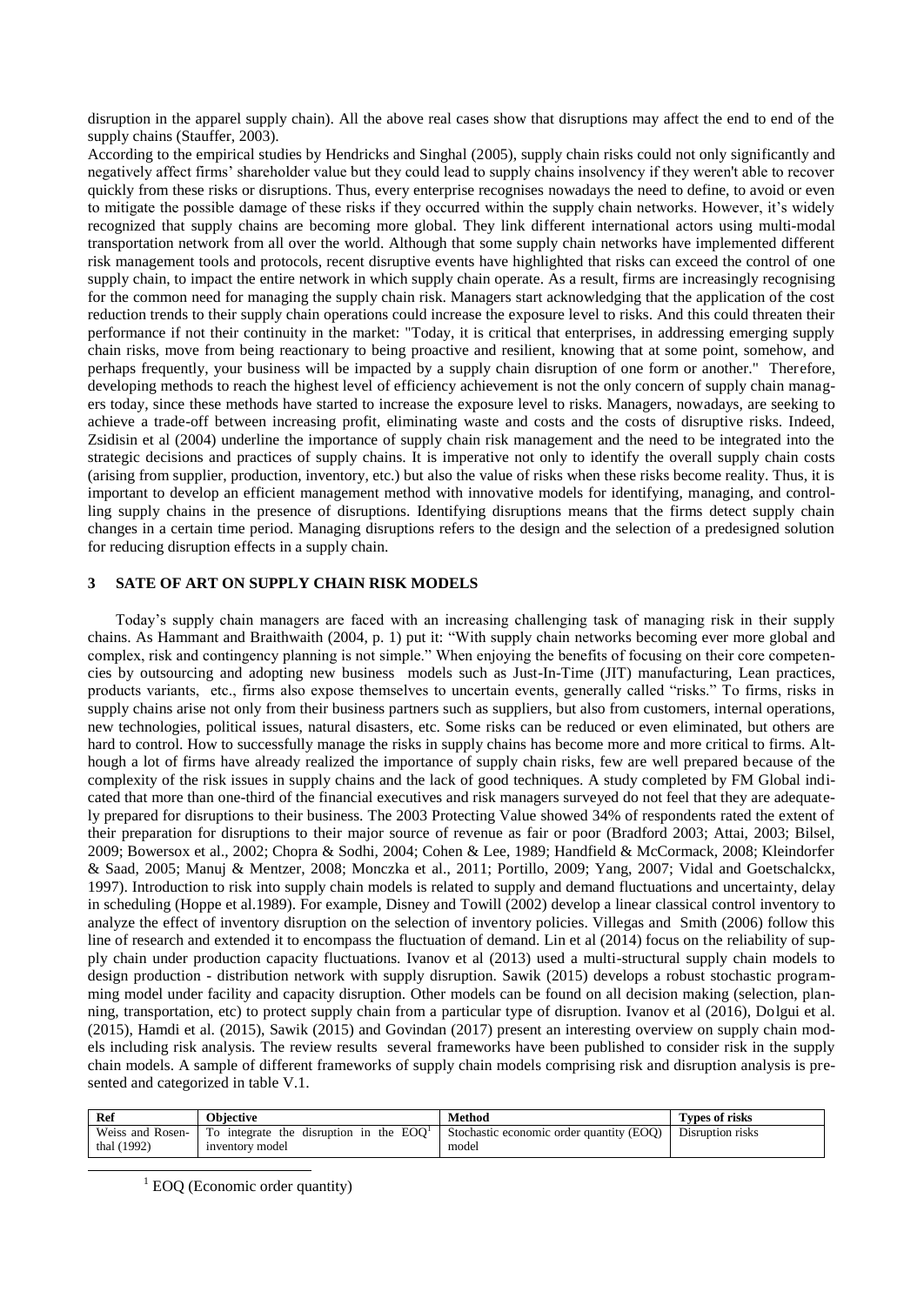disruption in the apparel supply chain). All the above real cases show that disruptions may affect the end to end of the supply chains (Stauffer, 2003).

According to the empirical studies by Hendricks and Singhal (2005), supply chain risks could not only significantly and negatively affect firms' shareholder value but they could lead to supply chains insolvency if they weren't able to recover quickly from these risks or disruptions. Thus, every enterprise recognises nowadays the need to define, to avoid or even to mitigate the possible damage of these risks if they occurred within the supply chain networks. However, it's widely recognized that supply chains are becoming more global. They link different international actors using multi-modal transportation network from all over the world. Although that some supply chain networks have implemented different risk management tools and protocols, recent disruptive events have highlighted that risks can exceed the control of one supply chain, to impact the entire network in which supply chain operate. As a result, firms are increasingly recognising for the common need for managing the supply chain risk. Managers start acknowledging that the application of the cost reduction trends to their supply chain operations could increase the exposure level to risks. And this could threaten their performance if not their continuity in the market: "Today, it is critical that enterprises, in addressing emerging supply chain risks, move from being reactionary to being proactive and resilient, knowing that at some point, somehow, and perhaps frequently, your business will be impacted by a supply chain disruption of one form or another." Therefore, developing methods to reach the highest level of efficiency achievement is not the only concern of supply chain managers today, since these methods have started to increase the exposure level to risks. Managers, nowadays, are seeking to achieve a trade-off between increasing profit, eliminating waste and costs and the costs of disruptive risks. Indeed, Zsidisin et al (2004) underline the importance of supply chain risk management and the need to be integrated into the strategic decisions and practices of supply chains. It is imperative not only to identify the overall supply chain costs (arising from supplier, production, inventory, etc.) but also the value of risks when these risks become reality. Thus, it is important to develop an efficient management method with innovative models for identifying, managing, and controlling supply chains in the presence of disruptions. Identifying disruptions means that the firms detect supply chain changes in a certain time period. Managing disruptions refers to the design and the selection of a predesigned solution for reducing disruption effects in a supply chain.

## **3 SATE OF ART ON SUPPLY CHAIN RISK MODELS**

Today's supply chain managers are faced with an increasing challenging task of managing risk in their supply chains. As Hammant and Braithwaith (2004, p. 1) put it: "With supply chain networks becoming ever more global and complex, risk and contingency planning is not simple." When enjoying the benefits of focusing on their core competencies by outsourcing and adopting new business models such as Just-In-Time (JIT) manufacturing, Lean practices, products variants, etc., firms also expose themselves to uncertain events, generally called "risks." To firms, risks in supply chains arise not only from their business partners such as suppliers, but also from customers, internal operations, new technologies, political issues, natural disasters, etc. Some risks can be reduced or even eliminated, but others are hard to control. How to successfully manage the risks in supply chains has become more and more critical to firms. Although a lot of firms have already realized the importance of supply chain risks, few are well prepared because of the complexity of the risk issues in supply chains and the lack of good techniques. A study completed by FM Global indicated that more than one-third of the financial executives and risk managers surveyed do not feel that they are adequately prepared for disruptions to their business. The 2003 Protecting Value showed 34% of respondents rated the extent of their preparation for disruptions to their major source of revenue as fair or poor (Bradford 2003; Attai, 2003; Bilsel, 2009; Bowersox et al., 2002; Chopra & Sodhi, 2004; Cohen & Lee, 1989; Handfield & McCormack, 2008; Kleindorfer & Saad, 2005; Manuj & Mentzer, 2008; Monczka et al., 2011; Portillo, 2009; Yang, 2007; Vidal and Goetschalckx, 1997). Introduction to risk into supply chain models is related to supply and demand fluctuations and uncertainty, delay in scheduling (Hoppe et al.1989). For example, Disney and Towill (2002) develop a linear classical control inventory to analyze the effect of inventory disruption on the selection of inventory policies. Villegas and Smith (2006) follow this line of research and extended it to encompass the fluctuation of demand. Lin et al (2014) focus on the reliability of supply chain under production capacity fluctuations. Ivanov et al (2013) used a multi-structural supply chain models to design production - distribution network with supply disruption. Sawik (2015) develops a robust stochastic programming model under facility and capacity disruption. Other models can be found on all decision making (selection, planning, transportation, etc) to protect supply chain from a particular type of disruption. Ivanov et al (2016), Dolgui et al. (2015), Hamdi et al. (2015), Sawik (2015) and Govindan (2017) present an interesting overview on supply chain models including risk analysis. The review results several frameworks have been published to consider risk in the supply chain models. A sample of different frameworks of supply chain models comprising risk and disruption analysis is presented and categorized in table V.1.

| Ref              | <b>Objective</b>                                            | Method                                   | Types of risks   |
|------------------|-------------------------------------------------------------|------------------------------------------|------------------|
| Weiss and Rosen- | $\vert$ To integrate the disruption in the EOO <sup>1</sup> | Stochastic economic order quantity (EOO) | Disruption risks |
| thal (1992)      | inventory model                                             | model                                    |                  |

 $1$  EOQ (Economic order quantity)

-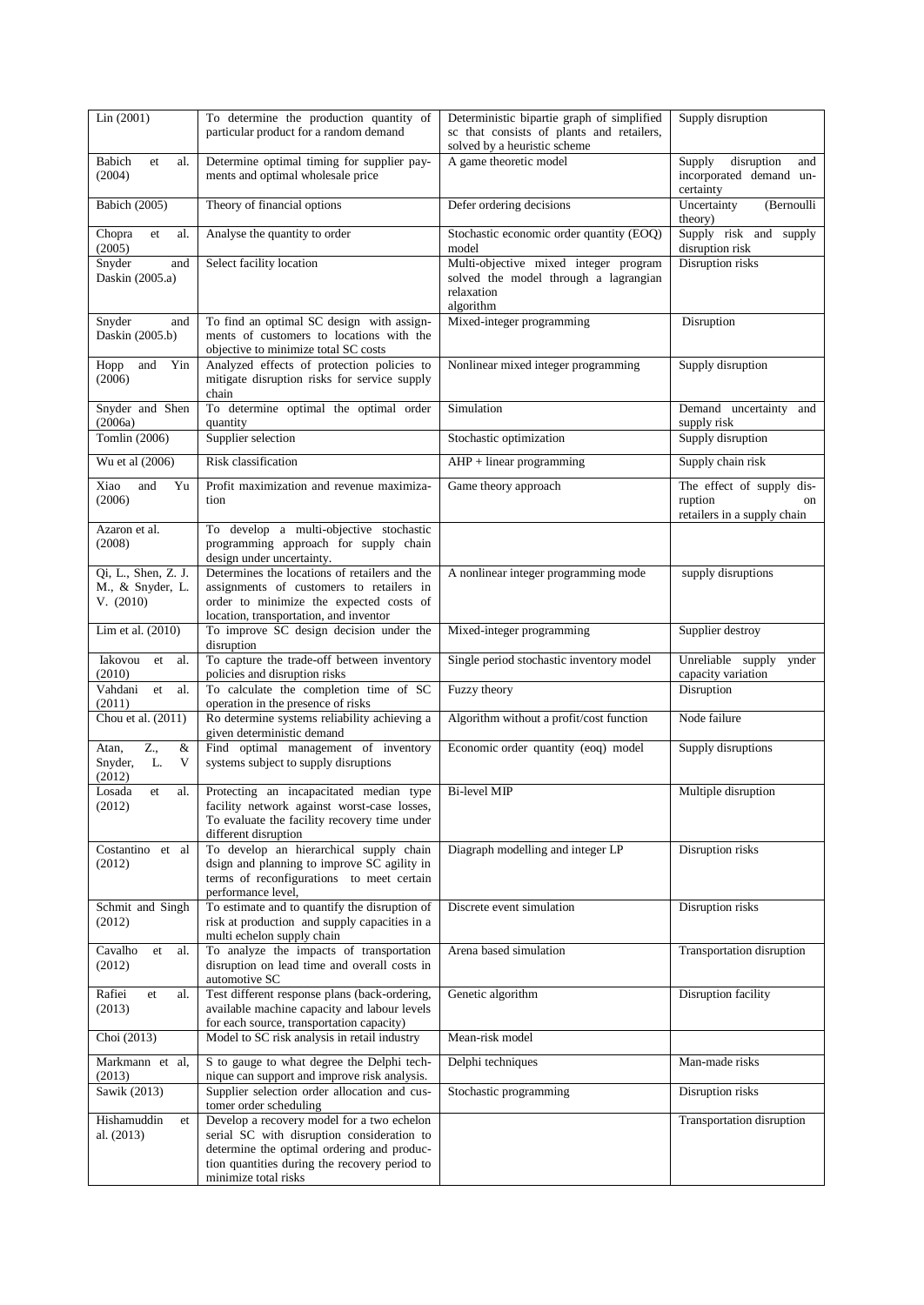| Lin (2001)                                           | To determine the production quantity of                                                                                                                                                 | Deterministic bipartie graph of simplified                                     | Supply disruption                                                         |
|------------------------------------------------------|-----------------------------------------------------------------------------------------------------------------------------------------------------------------------------------------|--------------------------------------------------------------------------------|---------------------------------------------------------------------------|
|                                                      | particular product for a random demand                                                                                                                                                  | sc that consists of plants and retailers,<br>solved by a heuristic scheme      |                                                                           |
| Babich<br>al.<br>et<br>(2004)                        | Determine optimal timing for supplier pay-<br>ments and optimal wholesale price                                                                                                         | A game theoretic model                                                         | Supply<br>disruption<br>and<br>incorporated demand un-<br>certainty       |
| <b>Babich</b> (2005)                                 | Theory of financial options                                                                                                                                                             | Defer ordering decisions                                                       | Uncertainty<br>(Bernoulli<br>theory)                                      |
| Chopra<br>et<br>al.<br>(2005)                        | Analyse the quantity to order                                                                                                                                                           | Stochastic economic order quantity (EOQ)<br>model                              | Supply risk and supply<br>disruption risk                                 |
| Snyder<br>and<br>Daskin (2005.a)                     | Select facility location                                                                                                                                                                | Multi-objective mixed integer program<br>solved the model through a lagrangian | Disruption risks                                                          |
|                                                      |                                                                                                                                                                                         | relaxation<br>algorithm                                                        |                                                                           |
| Snyder<br>and<br>Daskin (2005.b)                     | To find an optimal SC design with assign-<br>ments of customers to locations with the<br>objective to minimize total SC costs                                                           | Mixed-integer programming                                                      | Disruption                                                                |
| Hopp<br>and<br>Yin<br>(2006)                         | Analyzed effects of protection policies to<br>mitigate disruption risks for service supply<br>chain                                                                                     | Nonlinear mixed integer programming                                            | Supply disruption                                                         |
| Snyder and Shen<br>(2006a)                           | To determine optimal the optimal order<br>quantity                                                                                                                                      | Simulation                                                                     | Demand uncertainty and<br>supply risk                                     |
| Tomlin (2006)                                        | Supplier selection                                                                                                                                                                      | Stochastic optimization                                                        | Supply disruption                                                         |
| Wu et al (2006)                                      | Risk classification                                                                                                                                                                     | $AHP + linear programming$                                                     | Supply chain risk                                                         |
| Xiao<br>and<br>Yu<br>(2006)                          | Profit maximization and revenue maximiza-<br>tion                                                                                                                                       | Game theory approach                                                           | The effect of supply dis-<br>ruption<br>on<br>retailers in a supply chain |
| Azaron et al.<br>(2008)                              | To develop a multi-objective stochastic<br>programming approach for supply chain<br>design under uncertainty.                                                                           |                                                                                |                                                                           |
| Qi, L., Shen, Z. J.<br>M., & Snyder, L.<br>V. (2010) | Determines the locations of retailers and the<br>assignments of customers to retailers in<br>order to minimize the expected costs of<br>location, transportation, and inventor          | A nonlinear integer programming mode                                           | supply disruptions                                                        |
| Lim et al. $(2010)$                                  | To improve SC design decision under the<br>disruption                                                                                                                                   | Mixed-integer programming                                                      | Supplier destroy                                                          |
| Iakovou<br>et<br>al.<br>(2010)                       | To capture the trade-off between inventory<br>policies and disruption risks                                                                                                             | Single period stochastic inventory model                                       | Unreliable supply ynder<br>capacity variation                             |
| Vahdani<br>et<br>al.<br>(2011)                       | To calculate the completion time of SC<br>operation in the presence of risks                                                                                                            | Fuzzy theory                                                                   | Disruption                                                                |
| Chou et al. (2011)                                   | Ro determine systems reliability achieving a<br>given deterministic demand                                                                                                              | Algorithm without a profit/cost function                                       | Node failure                                                              |
| Z.,<br>&<br>Atan,<br>Snyder,<br>L.<br>V<br>(2012)    | Find optimal management of inventory<br>systems subject to supply disruptions                                                                                                           | Economic order quantity (eoq) model                                            | Supply disruptions                                                        |
| Losada<br>al.<br>et<br>(2012)                        | Protecting an incapacitated median type<br>facility network against worst-case losses,<br>To evaluate the facility recovery time under<br>different disruption                          | <b>Bi-level MIP</b>                                                            | Multiple disruption                                                       |
| Costantino<br>et al<br>(2012)                        | To develop an hierarchical supply chain<br>dsign and planning to improve SC agility in<br>terms of reconfigurations to meet certain<br>performance level,                               | Diagraph modelling and integer LP                                              | Disruption risks                                                          |
| Schmit and Singh<br>(2012)                           | To estimate and to quantify the disruption of<br>risk at production and supply capacities in a<br>multi echelon supply chain                                                            | Discrete event simulation                                                      | Disruption risks                                                          |
| Cavalho<br>al.<br>et<br>(2012)                       | To analyze the impacts of transportation<br>disruption on lead time and overall costs in<br>automotive SC                                                                               | Arena based simulation                                                         | Transportation disruption                                                 |
| Rafiei<br>al.<br>et<br>(2013)                        | Test different response plans (back-ordering,<br>available machine capacity and labour levels<br>for each source, transportation capacity)                                              | Genetic algorithm                                                              | Disruption facility                                                       |
| Choi (2013)                                          | Model to SC risk analysis in retail industry                                                                                                                                            | Mean-risk model                                                                |                                                                           |
| Markmann et al,<br>(2013)                            | S to gauge to what degree the Delphi tech-<br>nique can support and improve risk analysis.                                                                                              | Delphi techniques                                                              | Man-made risks                                                            |
| Sawik (2013)                                         | Supplier selection order allocation and cus-<br>tomer order scheduling                                                                                                                  | Stochastic programming                                                         | Disruption risks                                                          |
| Hishamuddin<br>et<br>al. (2013)                      | Develop a recovery model for a two echelon<br>serial SC with disruption consideration to<br>determine the optimal ordering and produc-<br>tion quantities during the recovery period to |                                                                                | Transportation disruption                                                 |
|                                                      | minimize total risks                                                                                                                                                                    |                                                                                |                                                                           |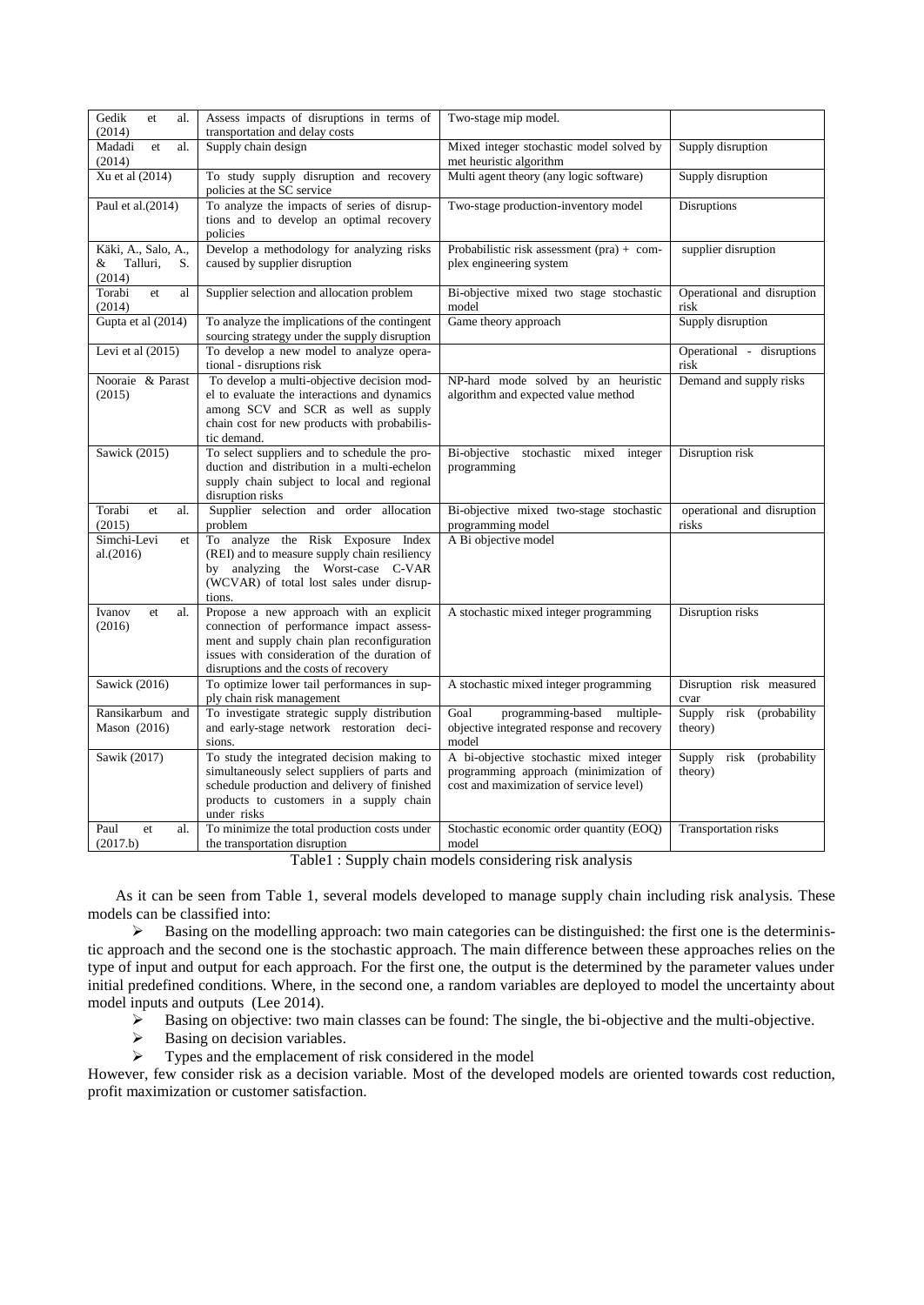| Gedik<br>et<br>al.<br>(2014)                         | Assess impacts of disruptions in terms of<br>transportation and delay costs                                                                                                                                                | Two-stage mip model.                                                                                                        |                                           |
|------------------------------------------------------|----------------------------------------------------------------------------------------------------------------------------------------------------------------------------------------------------------------------------|-----------------------------------------------------------------------------------------------------------------------------|-------------------------------------------|
| Madadi<br>al.<br>et<br>(2014)                        | Supply chain design                                                                                                                                                                                                        | Mixed integer stochastic model solved by<br>met heuristic algorithm                                                         | Supply disruption                         |
| Xu et al (2014)                                      | To study supply disruption and recovery<br>policies at the SC service                                                                                                                                                      | Multi agent theory (any logic software)                                                                                     | Supply disruption                         |
| Paul et al.(2014)                                    | To analyze the impacts of series of disrup-<br>tions and to develop an optimal recovery<br>policies                                                                                                                        | Two-stage production-inventory model                                                                                        | <b>Disruptions</b>                        |
| Käki, A., Salo, A.,<br>Talluri,<br>&<br>S.<br>(2014) | Develop a methodology for analyzing risks<br>caused by supplier disruption                                                                                                                                                 | Probabilistic risk assessment $(pra) + com$<br>plex engineering system                                                      | supplier disruption                       |
| Torabi<br>et.<br>al<br>(2014)                        | Supplier selection and allocation problem                                                                                                                                                                                  | Bi-objective mixed two stage stochastic<br>model                                                                            | Operational and disruption<br>risk        |
| Gupta et al (2014)                                   | To analyze the implications of the contingent<br>sourcing strategy under the supply disruption                                                                                                                             | Game theory approach                                                                                                        | Supply disruption                         |
| Levi et al $(2015)$                                  | To develop a new model to analyze opera-<br>tional - disruptions risk                                                                                                                                                      |                                                                                                                             | Operational - disruptions<br>risk         |
| Nooraie & Parast<br>(2015)                           | To develop a multi-objective decision mod-<br>el to evaluate the interactions and dynamics<br>among SCV and SCR as well as supply<br>chain cost for new products with probabilis-<br>tic demand.                           | NP-hard mode solved by an heuristic<br>algorithm and expected value method                                                  | Demand and supply risks                   |
| Sawick (2015)                                        | To select suppliers and to schedule the pro-<br>duction and distribution in a multi-echelon<br>supply chain subject to local and regional<br>disruption risks                                                              | Bi-objective stochastic mixed integer<br>programming                                                                        | Disruption risk                           |
| Torabi<br>et<br>al.<br>(2015)                        | Supplier selection and order allocation<br>problem                                                                                                                                                                         | Bi-objective mixed two-stage stochastic<br>programming model                                                                | operational and disruption<br>risks       |
| Simchi-Levi<br>et<br>al.(2016)                       | To analyze the Risk Exposure Index<br>(REI) and to measure supply chain resiliency<br>by analyzing the Worst-case C-VAR<br>(WCVAR) of total lost sales under disrup-<br>tions.                                             | A Bi objective model                                                                                                        |                                           |
| Ivanov<br>al.<br>et<br>(2016)                        | Propose a new approach with an explicit<br>connection of performance impact assess-<br>ment and supply chain plan reconfiguration<br>issues with consideration of the duration of<br>disruptions and the costs of recovery | A stochastic mixed integer programming                                                                                      | Disruption risks                          |
| Sawick (2016)                                        | To optimize lower tail performances in sup-<br>ply chain risk management                                                                                                                                                   | A stochastic mixed integer programming                                                                                      | Disruption risk measured<br>cvar          |
| Ransikarbum and<br>Mason $(2016)$                    | To investigate strategic supply distribution<br>and early-stage network restoration deci-<br>sions.                                                                                                                        | programming-based multiple-<br>Goal<br>objective integrated response and recovery<br>model                                  | Supply<br>risk (probability<br>theory)    |
| Sawik (2017)                                         | To study the integrated decision making to<br>simultaneously select suppliers of parts and<br>schedule production and delivery of finished<br>products to customers in a supply chain<br>under risks                       | A bi-objective stochastic mixed integer<br>programming approach (minimization of<br>cost and maximization of service level) | Supply<br>(probability<br>risk<br>theory) |
| Paul<br>et<br>al.<br>(2017.b)                        | To minimize the total production costs under<br>the transportation disruption                                                                                                                                              | Stochastic economic order quantity (EOQ)<br>model                                                                           | Transportation risks                      |

Table1 : Supply chain models considering risk analysis

As it can be seen from Table 1, several models developed to manage supply chain including risk analysis. These models can be classified into:

 $\triangleright$  Basing on the modelling approach: two main categories can be distinguished: the first one is the deterministic approach and the second one is the stochastic approach. The main difference between these approaches relies on the type of input and output for each approach. For the first one, the output is the determined by the parameter values under initial predefined conditions. Where, in the second one, a random variables are deployed to model the uncertainty about model inputs and outputs (Lee 2014).

- Basing on objective: two main classes can be found: The single, the bi-objective and the multi-objective.<br>Basing on decision variables.
- $\triangleright$  Basing on decision variables.<br> $\triangleright$  Types and the emplacement of
- Types and the emplacement of risk considered in the model

However, few consider risk as a decision variable. Most of the developed models are oriented towards cost reduction, profit maximization or customer satisfaction.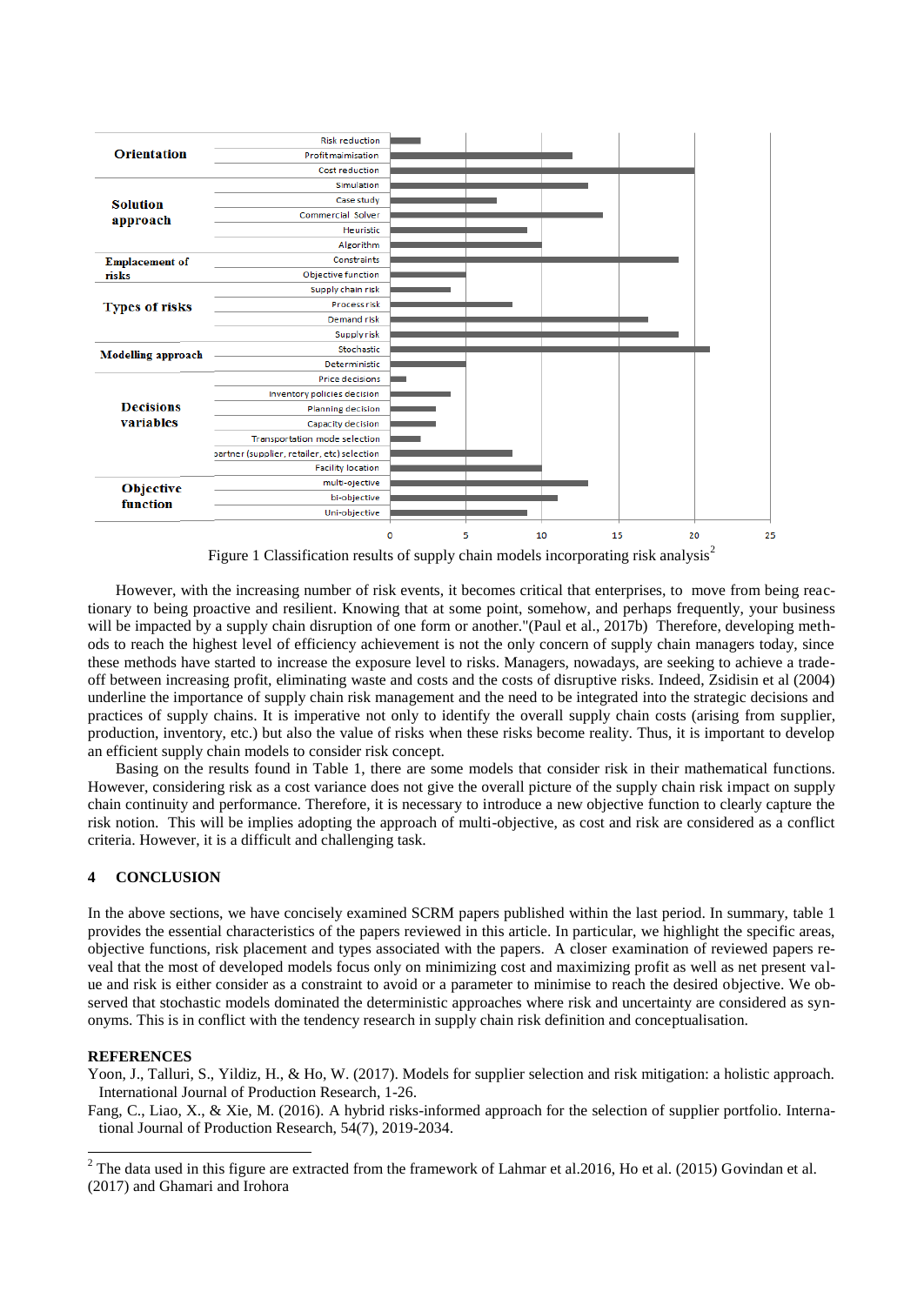

Figure 1 Classification results of supply chain models incorporating risk analysis<sup>2</sup>

However, with the increasing number of risk events, it becomes critical that enterprises, to move from being reactionary to being proactive and resilient. Knowing that at some point, somehow, and perhaps frequently, your business will be impacted by a supply chain disruption of one form or another."(Paul et al., 2017b) Therefore, developing methods to reach the highest level of efficiency achievement is not the only concern of supply chain managers today, since these methods have started to increase the exposure level to risks. Managers, nowadays, are seeking to achieve a tradeoff between increasing profit, eliminating waste and costs and the costs of disruptive risks. Indeed, Zsidisin et al (2004) underline the importance of supply chain risk management and the need to be integrated into the strategic decisions and practices of supply chains. It is imperative not only to identify the overall supply chain costs (arising from supplier, production, inventory, etc.) but also the value of risks when these risks become reality. Thus, it is important to develop an efficient supply chain models to consider risk concept.

Basing on the results found in Table 1, there are some models that consider risk in their mathematical functions. However, considering risk as a cost variance does not give the overall picture of the supply chain risk impact on supply chain continuity and performance. Therefore, it is necessary to introduce a new objective function to clearly capture the risk notion. This will be implies adopting the approach of multi-objective, as cost and risk are considered as a conflict criteria. However, it is a difficult and challenging task.

## **4 CONCLUSION**

In the above sections, we have concisely examined SCRM papers published within the last period. In summary, table 1 provides the essential characteristics of the papers reviewed in this article. In particular, we highlight the specific areas, objective functions, risk placement and types associated with the papers. A closer examination of reviewed papers reveal that the most of developed models focus only on minimizing cost and maximizing profit as well as net present value and risk is either consider as a constraint to avoid or a parameter to minimise to reach the desired objective. We observed that stochastic models dominated the deterministic approaches where risk and uncertainty are considered as synonyms. This is in conflict with the tendency research in supply chain risk definition and conceptualisation.

#### **REFERENCES**

1

Yoon, J., Talluri, S., Yildiz, H., & Ho, W. (2017). Models for supplier selection and risk mitigation: a holistic approach. International Journal of Production Research, 1-26.

Fang, C., Liao, X., & Xie, M. (2016). A hybrid risks-informed approach for the selection of supplier portfolio. International Journal of Production Research, 54(7), 2019-2034.

 $2$  The data used in this figure are extracted from the framework of Lahmar et al.2016, Ho et al. (2015) Govindan et al. (2017) and Ghamari and Irohora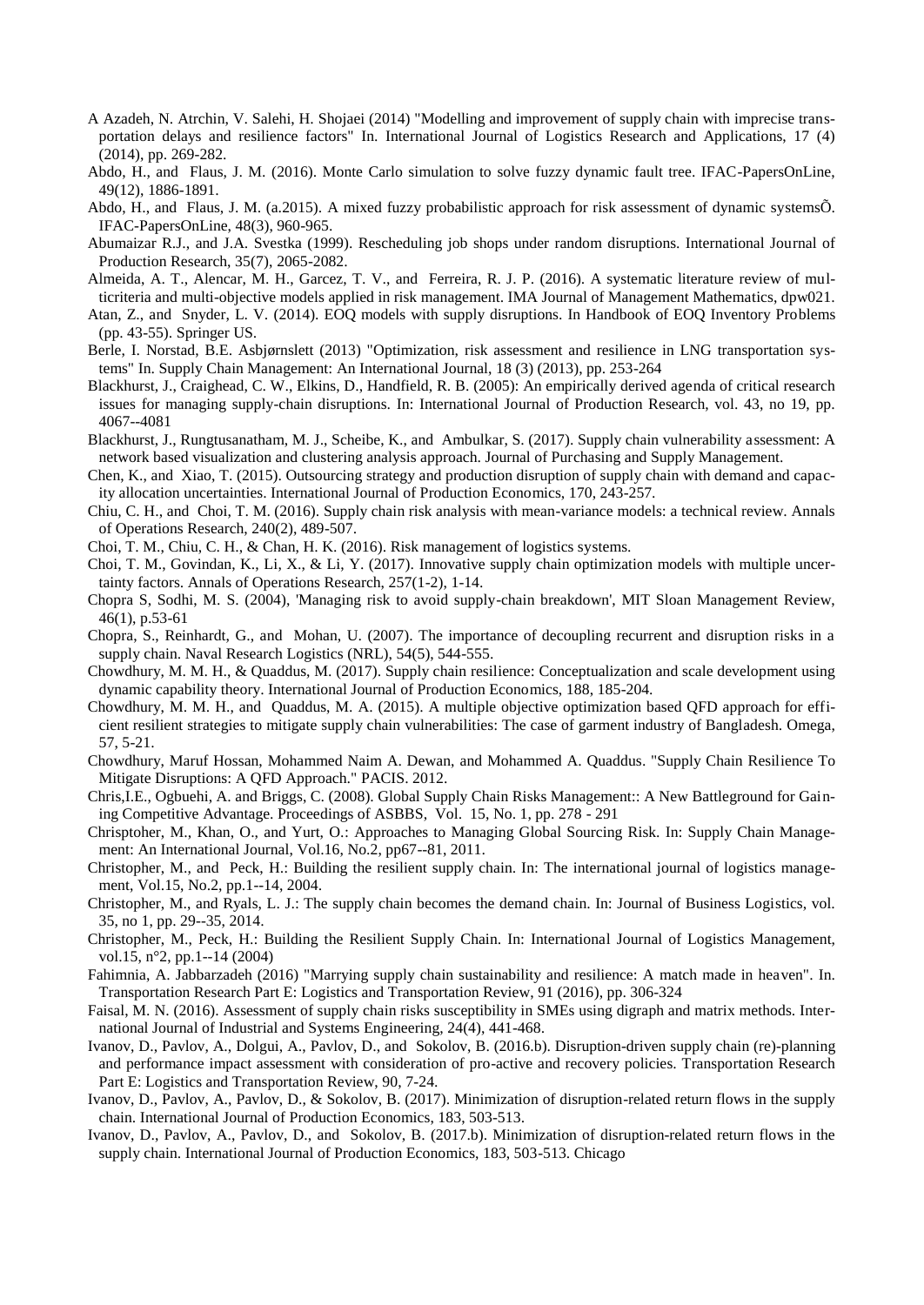- A Azadeh, N. Atrchin, V. Salehi, H. Shojaei (2014) "Modelling and improvement of supply chain with imprecise transportation delays and resilience factors" In. International Journal of Logistics Research and Applications, 17 (4) (2014), pp. 269-282.
- Abdo, H., and Flaus, J. M. (2016). Monte Carlo simulation to solve fuzzy dynamic fault tree. IFAC-PapersOnLine, 49(12), 1886-1891.
- Abdo, H., and Flaus, J. M. (a.2015). A mixed fuzzy probabilistic approach for risk assessment of dynamic systemsÕ. IFAC-PapersOnLine, 48(3), 960-965.
- Abumaizar R.J., and J.A. Svestka (1999). Rescheduling job shops under random disruptions. International Journal of Production Research, 35(7), 2065-2082.
- Almeida, A. T., Alencar, M. H., Garcez, T. V., and Ferreira, R. J. P. (2016). A systematic literature review of multicriteria and multi-objective models applied in risk management. IMA Journal of Management Mathematics, dpw021.
- Atan, Z., and Snyder, L. V. (2014). EOQ models with supply disruptions. In Handbook of EOQ Inventory Problems (pp. 43-55). Springer US.
- Berle, I. Norstad, B.E. Asbjørnslett (2013) "Optimization, risk assessment and resilience in LNG transportation systems" In. Supply Chain Management: An International Journal, 18 (3) (2013), pp. 253-264
- Blackhurst, J., Craighead, C. W., Elkins, D., Handfield, R. B. (2005): An empirically derived agenda of critical research issues for managing supply-chain disruptions. In: International Journal of Production Research, vol. 43, no 19, pp. 4067--4081
- Blackhurst, J., Rungtusanatham, M. J., Scheibe, K., and Ambulkar, S. (2017). Supply chain vulnerability assessment: A network based visualization and clustering analysis approach. Journal of Purchasing and Supply Management.
- Chen, K., and Xiao, T. (2015). Outsourcing strategy and production disruption of supply chain with demand and capacity allocation uncertainties. International Journal of Production Economics, 170, 243-257.
- Chiu, C. H., and Choi, T. M. (2016). Supply chain risk analysis with mean-variance models: a technical review. Annals of Operations Research, 240(2), 489-507.
- Choi, T. M., Chiu, C. H., & Chan, H. K. (2016). Risk management of logistics systems.
- Choi, T. M., Govindan, K., Li, X., & Li, Y. (2017). Innovative supply chain optimization models with multiple uncertainty factors. Annals of Operations Research, 257(1-2), 1-14.
- Chopra S, Sodhi, M. S. (2004), 'Managing risk to avoid supply-chain breakdown', MIT Sloan Management Review, 46(1), p.53-61
- Chopra, S., Reinhardt, G., and Mohan, U. (2007). The importance of decoupling recurrent and disruption risks in a supply chain. Naval Research Logistics (NRL), 54(5), 544-555.
- Chowdhury, M. M. H., & Quaddus, M. (2017). Supply chain resilience: Conceptualization and scale development using dynamic capability theory. International Journal of Production Economics, 188, 185-204.
- Chowdhury, M. M. H., and Quaddus, M. A. (2015). A multiple objective optimization based QFD approach for efficient resilient strategies to mitigate supply chain vulnerabilities: The case of garment industry of Bangladesh. Omega, 57, 5-21.
- Chowdhury, Maruf Hossan, Mohammed Naim A. Dewan, and Mohammed A. Quaddus. "Supply Chain Resilience To Mitigate Disruptions: A QFD Approach." PACIS. 2012.
- Chris,I.E., Ogbuehi, A. and Briggs, C. (2008). Global Supply Chain Risks Management:: A New Battleground for Gaining Competitive Advantage. Proceedings of ASBBS, Vol. 15, No. 1, pp. 278 - 291
- Chrisptoher, M., Khan, O., and Yurt, O.: Approaches to Managing Global Sourcing Risk. In: Supply Chain Management: An International Journal, Vol.16, No.2, pp67--81, 2011.
- Christopher, M., and Peck, H.: Building the resilient supply chain. In: The international journal of logistics management, Vol.15, No.2, pp.1--14, 2004.
- Christopher, M., and Ryals, L. J.: The supply chain becomes the demand chain. In: Journal of Business Logistics, vol. 35, no 1, pp. 29--35, 2014.
- Christopher, M., Peck, H.: Building the Resilient Supply Chain. In: International Journal of Logistics Management, vol.15, n°2, pp.1--14 (2004)
- Fahimnia, A. Jabbarzadeh (2016) "Marrying supply chain sustainability and resilience: A match made in heaven". In. Transportation Research Part E: Logistics and Transportation Review, 91 (2016), pp. 306-324
- Faisal, M. N. (2016). Assessment of supply chain risks susceptibility in SMEs using digraph and matrix methods. International Journal of Industrial and Systems Engineering, 24(4), 441-468.
- Ivanov, D., Pavlov, A., Dolgui, A., Pavlov, D., and Sokolov, B. (2016.b). Disruption-driven supply chain (re)-planning and performance impact assessment with consideration of pro-active and recovery policies. Transportation Research Part E: Logistics and Transportation Review, 90, 7-24.
- Ivanov, D., Pavlov, A., Pavlov, D., & Sokolov, B. (2017). Minimization of disruption-related return flows in the supply chain. International Journal of Production Economics, 183, 503-513.
- Ivanov, D., Pavlov, A., Pavlov, D., and Sokolov, B. (2017.b). Minimization of disruption-related return flows in the supply chain. International Journal of Production Economics, 183, 503-513. Chicago